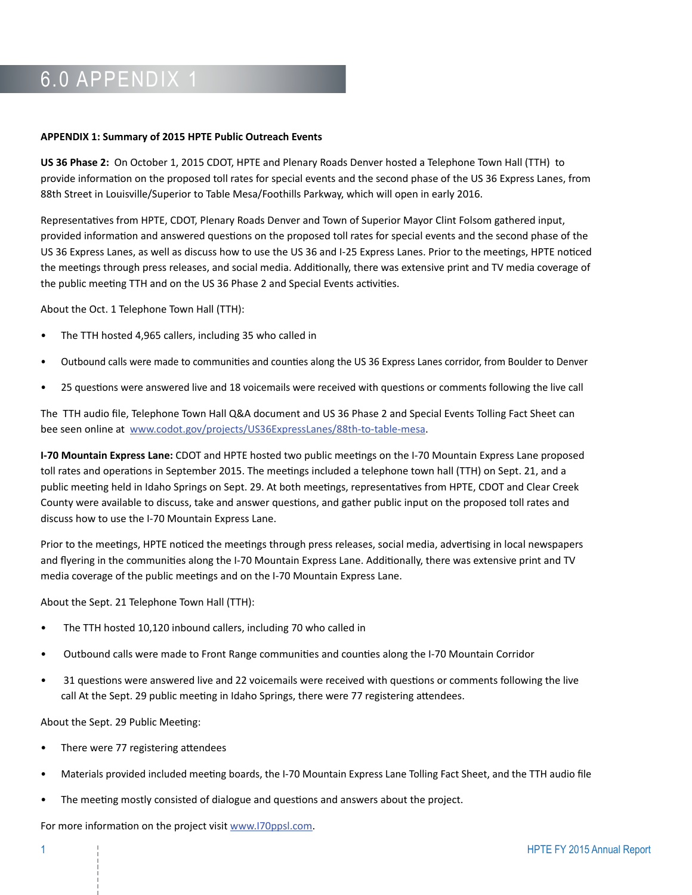## 6.0 APPENDIX 1

## **APPENDIX 1: Summary of 2015 HPTE Public Outreach Events**

**US 36 Phase 2:** On October 1, 2015 CDOT, HPTE and Plenary Roads Denver hosted a Telephone Town Hall (TTH) to provide information on the proposed toll rates for special events and the second phase of the US 36 Express Lanes, from 88th Street in Louisville/Superior to Table Mesa/Foothills Parkway, which will open in early 2016.

Representatives from HPTE, CDOT, Plenary Roads Denver and Town of Superior Mayor Clint Folsom gathered input, provided information and answered questions on the proposed toll rates for special events and the second phase of the US 36 Express Lanes, as well as discuss how to use the US 36 and I-25 Express Lanes. Prior to the meetings, HPTE noticed the meetings through press releases, and social media. Additionally, there was extensive print and TV media coverage of the public meeting TTH and on the US 36 Phase 2 and Special Events activities.

About the Oct. 1 Telephone Town Hall (TTH):

- The TTH hosted 4,965 callers, including 35 who called in
- Outbound calls were made to communities and counties along the US 36 Express Lanes corridor, from Boulder to Denver
- 25 questions were answered live and 18 voicemails were received with questions or comments following the live call

The TTH audio file, Telephone Town Hall Q&A document and US 36 Phase 2 and Special Events Tolling Fact Sheet can bee seen online at [www.codot.gov/projects/US36ExpressLanes/88th-to-table-mesa.](http://www.codot.gov/projects/US36ExpressLanes/88th-to-table-mesa)

**I-70 Mountain Express Lane:** CDOT and HPTE hosted two public meetings on the I-70 Mountain Express Lane proposed toll rates and operations in September 2015. The meetings included a telephone town hall (TTH) on Sept. 21, and a public meeting held in Idaho Springs on Sept. 29. At both meetings, representatives from HPTE, CDOT and Clear Creek County were available to discuss, take and answer questions, and gather public input on the proposed toll rates and discuss how to use the I-70 Mountain Express Lane.

Prior to the meetings, HPTE noticed the meetings through press releases, social media, advertising in local newspapers and flyering in the communities along the I-70 Mountain Express Lane. Additionally, there was extensive print and TV media coverage of the public meetings and on the I-70 Mountain Express Lane.

About the Sept. 21 Telephone Town Hall (TTH):

- The TTH hosted 10,120 inbound callers, including 70 who called in
- Outbound calls were made to Front Range communities and counties along the I-70 Mountain Corridor
- 31 questions were answered live and 22 voicemails were received with questions or comments following the live call At the Sept. 29 public meeting in Idaho Springs, there were 77 registering attendees.

About the Sept. 29 Public Meeting:

- There were 77 registering attendees
- Materials provided included meeting boards, the I-70 Mountain Express Lane Tolling Fact Sheet, and the TTH audio file
- The meeting mostly consisted of dialogue and questions and answers about the project.

For more information on the project visit [www.I70ppsl.com](http://www.I70ppsl.com).